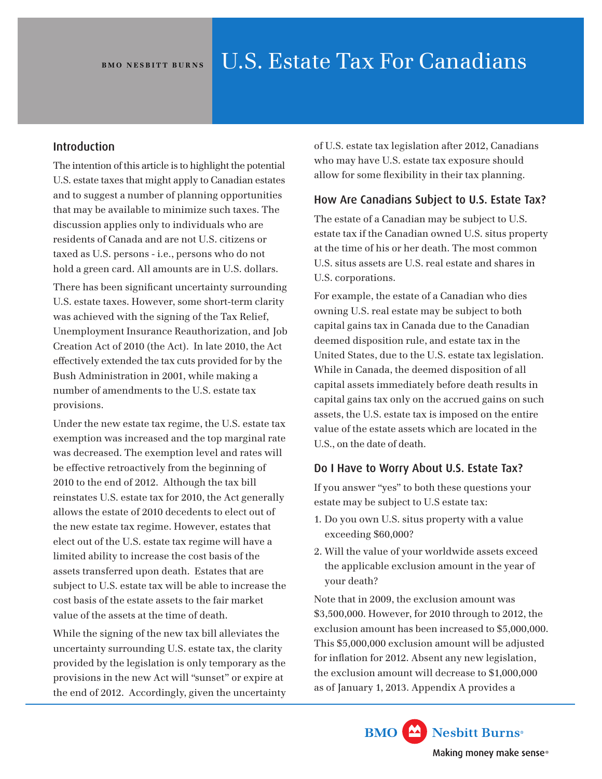## Introduction

The intention of this article is to highlight the potential U.S. estate taxes that might apply to Canadian estates and to suggest a number of planning opportunities that may be available to minimize such taxes. The discussion applies only to individuals who are residents of Canada and are not U.S. citizens or taxed as U.S. persons - i.e., persons who do not hold a green card. All amounts are in U.S. dollars.

There has been significant uncertainty surrounding U.S. estate taxes. However, some short-term clarity was achieved with the signing of the Tax Relief, Unemployment Insurance Reauthorization, and Job Creation Act of 2010 (the Act). In late 2010, the Act effectively extended the tax cuts provided for by the Bush Administration in 2001, while making a number of amendments to the U.S. estate tax provisions.

Under the new estate tax regime, the U.S. estate tax exemption was increased and the top marginal rate was decreased. The exemption level and rates will be effective retroactively from the beginning of 2010 to the end of 2012. Although the tax bill reinstates U.S. estate tax for 2010, the Act generally allows the estate of 2010 decedents to elect out of the new estate tax regime. However, estates that elect out of the U.S. estate tax regime will have a limited ability to increase the cost basis of the assets transferred upon death. Estates that are subject to U.S. estate tax will be able to increase the cost basis of the estate assets to the fair market value of the assets at the time of death.

While the signing of the new tax bill alleviates the uncertainty surrounding U.S. estate tax, the clarity provided by the legislation is only temporary as the provisions in the new Act will "sunset" or expire at the end of 2012. Accordingly, given the uncertainty of U.S. estate tax legislation after 2012, Canadians who may have U.S. estate tax exposure should allow for some flexibility in their tax planning.

# How Are Canadians Subject to U.S. Estate Tax?

The estate of a Canadian may be subject to U.S. estate tax if the Canadian owned U.S. situs property at the time of his or her death. The most common U.S. situs assets are U.S. real estate and shares in U.S. corporations.

For example, the estate of a Canadian who dies owning U.S. real estate may be subject to both capital gains tax in Canada due to the Canadian deemed disposition rule, and estate tax in the United States, due to the U.S. estate tax legislation. While in Canada, the deemed disposition of all capital assets immediately before death results in capital gains tax only on the accrued gains on such assets, the U.S. estate tax is imposed on the entire value of the estate assets which are located in the U.S., on the date of death.

# Do I Have to Worry About U.S. Estate Tax?

If you answer "yes" to both these questions your estate may be subject to U.S estate tax:

- 1. Do you own U.S. situs property with a value exceeding \$60,000?
- 2. Will the value of your worldwide assets exceed the applicable exclusion amount in the year of your death?

Note that in 2009, the exclusion amount was \$3,500,000. However, for 2010 through to 2012, the exclusion amount has been increased to \$5,000,000. This \$5,000,000 exclusion amount will be adjusted for inflation for 2012. Absent any new legislation, the exclusion amount will decrease to \$1,000,000 as of January 1, 2013. Appendix A provides a

> **BMO** Nesbitt Burns<sup>®</sup> Making money make sense®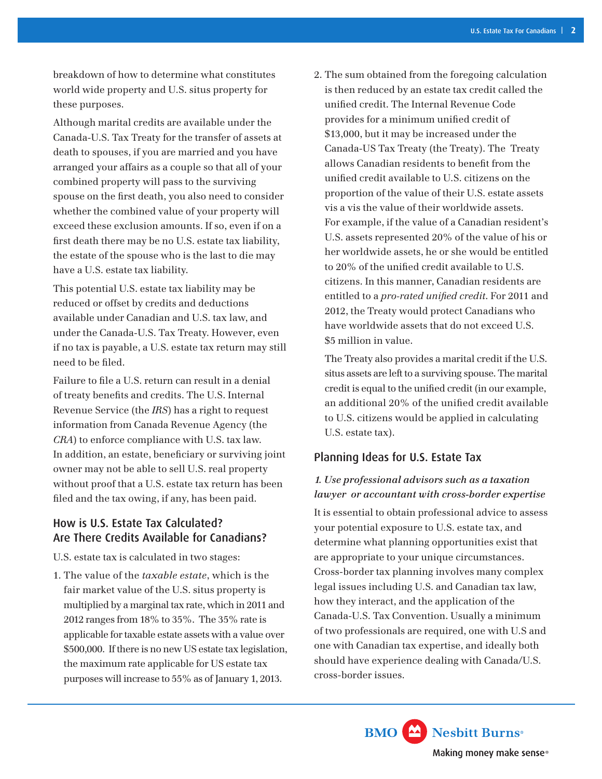breakdown of how to determine what constitutes world wide property and U.S. situs property for these purposes.

Although marital credits are available under the Canada-U.S. Tax Treaty for the transfer of assets at death to spouses, if you are married and you have arranged your affairs as a couple so that all of your combined property will pass to the surviving spouse on the first death, you also need to consider whether the combined value of your property will exceed these exclusion amounts. If so, even if on a first death there may be no U.S. estate tax liability, the estate of the spouse who is the last to die may have a U.S. estate tax liability.

This potential U.S. estate tax liability may be reduced or offset by credits and deductions available under Canadian and U.S. tax law, and under the Canada-U.S. Tax Treaty. However, even if no tax is payable, a U.S. estate tax return may still need to be filed.

Failure to file a U.S. return can result in a denial of treaty benefits and credits. The U.S. Internal Revenue Service (the *IRS*) has a right to request information from Canada Revenue Agency (the *CRA*) to enforce compliance with U.S. tax law. In addition, an estate, beneficiary or surviving joint owner may not be able to sell U.S. real property without proof that a U.S. estate tax return has been filed and the tax owing, if any, has been paid.

# How is U.S. Estate Tax Calculated? Are There Credits Available for Canadians?

U.S. estate tax is calculated in two stages:

1. The value of the *taxable estate*, which is the fair market value of the U.S. situs property is multiplied by a marginal tax rate, which in 2011 and 2012 ranges from 18% to 35%. The 35% rate is applicable for taxable estate assets with a value over \$500,000. If there is no new US estate tax legislation, the maximum rate applicable for US estate tax purposes will increase to 55% as of January 1, 2013.

2. The sum obtained from the foregoing calculation is then reduced by an estate tax credit called the unified credit. The Internal Revenue Code provides for a minimum unified credit of \$13,000, but it may be increased under the Canada-US Tax Treaty (the Treaty). The Treaty allows Canadian residents to benefit from the unified credit available to U.S. citizens on the proportion of the value of their U.S. estate assets vis a vis the value of their worldwide assets. For example, if the value of a Canadian resident's U.S. assets represented 20% of the value of his or her worldwide assets, he or she would be entitled to 20% of the unified credit available to U.S. citizens. In this manner, Canadian residents are entitled to a *pro-rated unified credit*. For 2011 and 2012, the Treaty would protect Canadians who have worldwide assets that do not exceed U.S. \$5 million in value.

The Treaty also provides a marital credit if the U.S. situs assets are left to a surviving spouse. The marital credit is equal to the unified credit (in our example, an additional 20% of the unified credit available to U.S. citizens would be applied in calculating U.S. estate tax).

# Planning Ideas for U.S. Estate Tax

## *1. Use professional advisors such as a taxation lawyer or accountant with cross-border expertise*

It is essential to obtain professional advice to assess your potential exposure to U.S. estate tax, and determine what planning opportunities exist that are appropriate to your unique circumstances. Cross-border tax planning involves many complex legal issues including U.S. and Canadian tax law, how they interact, and the application of the Canada-U.S. Tax Convention. Usually a minimum of two professionals are required, one with U.S and one with Canadian tax expertise, and ideally both should have experience dealing with Canada/U.S. cross-border issues.

> **BMO** Nesbitt Burns Making money make sense®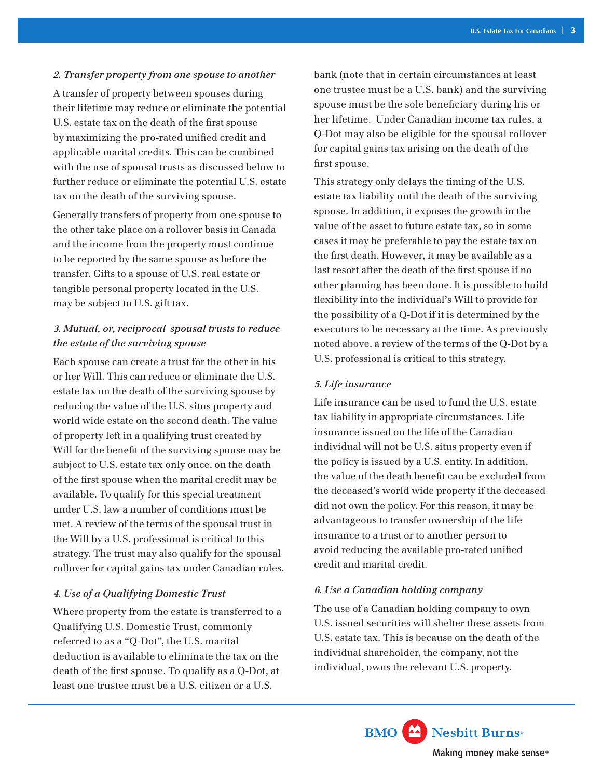### *2. Transfer property from one spouse to another*

A transfer of property between spouses during their lifetime may reduce or eliminate the potential U.S. estate tax on the death of the first spouse by maximizing the pro-rated unified credit and applicable marital credits. This can be combined with the use of spousal trusts as discussed below to further reduce or eliminate the potential U.S. estate tax on the death of the surviving spouse.

Generally transfers of property from one spouse to the other take place on a rollover basis in Canada and the income from the property must continue to be reported by the same spouse as before the transfer. Gifts to a spouse of U.S. real estate or tangible personal property located in the U.S. may be subject to U.S. gift tax.

## *3. Mutual, or, reciprocal spousal trusts to reduce the estate of the surviving spouse*

Each spouse can create a trust for the other in his or her Will. This can reduce or eliminate the U.S. estate tax on the death of the surviving spouse by reducing the value of the U.S. situs property and world wide estate on the second death. The value of property left in a qualifying trust created by Will for the benefit of the surviving spouse may be subject to U.S. estate tax only once, on the death of the first spouse when the marital credit may be available. To qualify for this special treatment under U.S. law a number of conditions must be met. A review of the terms of the spousal trust in the Will by a U.S. professional is critical to this strategy. The trust may also qualify for the spousal rollover for capital gains tax under Canadian rules.

#### *4. Use of a Qualifying Domestic Trust*

Where property from the estate is transferred to a Qualifying U.S. Domestic Trust, commonly referred to as a "Q-Dot", the U.S. marital deduction is available to eliminate the tax on the death of the first spouse. To qualify as a Q-Dot, at least one trustee must be a U.S. citizen or a U.S.

bank (note that in certain circumstances at least one trustee must be a U.S. bank) and the surviving spouse must be the sole beneficiary during his or her lifetime. Under Canadian income tax rules, a Q-Dot may also be eligible for the spousal rollover for capital gains tax arising on the death of the first spouse.

This strategy only delays the timing of the U.S. estate tax liability until the death of the surviving spouse. In addition, it exposes the growth in the value of the asset to future estate tax, so in some cases it may be preferable to pay the estate tax on the first death. However, it may be available as a last resort after the death of the first spouse if no other planning has been done. It is possible to build flexibility into the individual's Will to provide for the possibility of a Q-Dot if it is determined by the executors to be necessary at the time. As previously noted above, a review of the terms of the Q-Dot by a U.S. professional is critical to this strategy.

#### *5. Life insurance*

Life insurance can be used to fund the U.S. estate tax liability in appropriate circumstances. Life insurance issued on the life of the Canadian individual will not be U.S. situs property even if the policy is issued by a U.S. entity. In addition, the value of the death benefit can be excluded from the deceased's world wide property if the deceased did not own the policy. For this reason, it may be advantageous to transfer ownership of the life insurance to a trust or to another person to avoid reducing the available pro-rated unified credit and marital credit.

#### *6. Use a Canadian holding company*

The use of a Canadian holding company to own U.S. issued securities will shelter these assets from U.S. estate tax. This is because on the death of the individual shareholder, the company, not the individual, owns the relevant U.S. property.

> **BMO** Nesbitt Burns Making money make sense®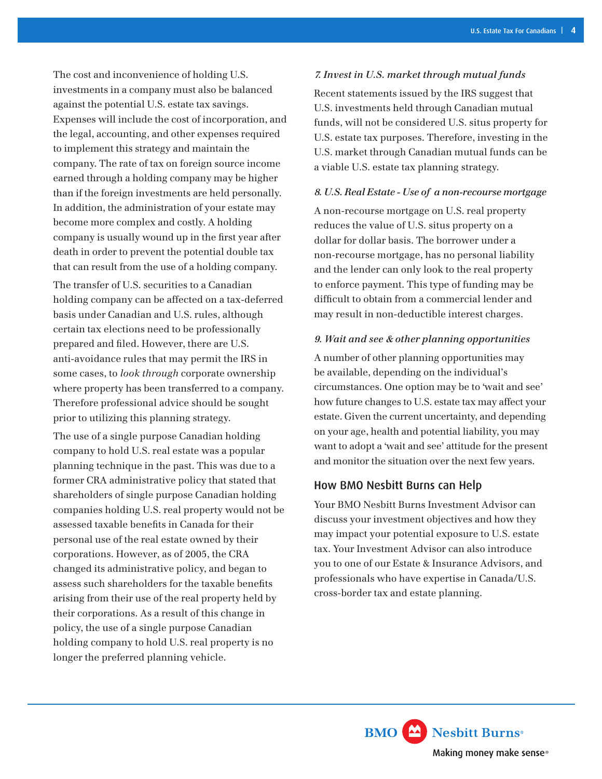The cost and inconvenience of holding U.S. investments in a company must also be balanced against the potential U.S. estate tax savings. Expenses will include the cost of incorporation, and the legal, accounting, and other expenses required to implement this strategy and maintain the company. The rate of tax on foreign source income earned through a holding company may be higher than if the foreign investments are held personally. In addition, the administration of your estate may become more complex and costly. A holding company is usually wound up in the first year after death in order to prevent the potential double tax that can result from the use of a holding company.

The transfer of U.S. securities to a Canadian holding company can be affected on a tax-deferred basis under Canadian and U.S. rules, although certain tax elections need to be professionally prepared and filed. However, there are U.S. anti-avoidance rules that may permit the IRS in some cases, to *look through* corporate ownership where property has been transferred to a company. Therefore professional advice should be sought prior to utilizing this planning strategy.

The use of a single purpose Canadian holding company to hold U.S. real estate was a popular planning technique in the past. This was due to a former CRA administrative policy that stated that shareholders of single purpose Canadian holding companies holding U.S. real property would not be assessed taxable benefits in Canada for their personal use of the real estate owned by their corporations. However, as of 2005, the CRA changed its administrative policy, and began to assess such shareholders for the taxable benefits arising from their use of the real property held by their corporations. As a result of this change in policy, the use of a single purpose Canadian holding company to hold U.S. real property is no longer the preferred planning vehicle.

#### *7. Invest in U.S. market through mutual funds*

Recent statements issued by the IRS suggest that U.S. investments held through Canadian mutual funds, will not be considered U.S. situs property for U.S. estate tax purposes. Therefore, investing in the U.S. market through Canadian mutual funds can be a viable U.S. estate tax planning strategy.

#### *8. U.S. Real Estate - Use of a non-recourse mortgage*

A non-recourse mortgage on U.S. real property reduces the value of U.S. situs property on a dollar for dollar basis. The borrower under a non-recourse mortgage, has no personal liability and the lender can only look to the real property to enforce payment. This type of funding may be difficult to obtain from a commercial lender and may result in non-deductible interest charges.

#### *9. Wait and see & other planning opportunities*

A number of other planning opportunities may be available, depending on the individual's circumstances. One option may be to 'wait and see' how future changes to U.S. estate tax may affect your estate. Given the current uncertainty, and depending on your age, health and potential liability, you may want to adopt a 'wait and see' attitude for the present and monitor the situation over the next few years.

### How BMO Nesbitt Burns can Help

Your BMO Nesbitt Burns Investment Advisor can discuss your investment objectives and how they may impact your potential exposure to U.S. estate tax. Your Investment Advisor can also introduce you to one of our Estate & Insurance Advisors, and professionals who have expertise in Canada/U.S. cross-border tax and estate planning.

> **BMO** Nesbitt Burns Making money make sense®